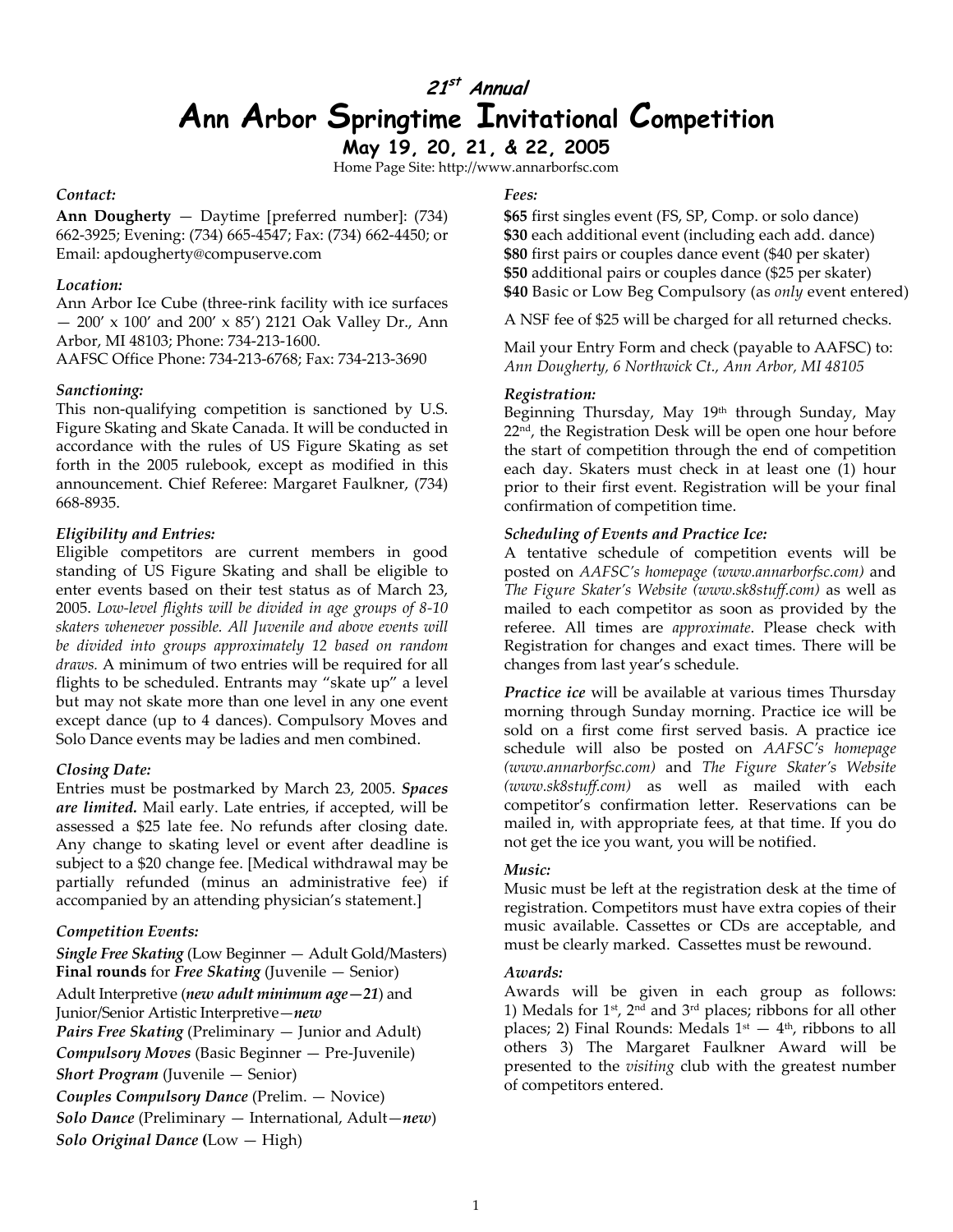# **21st Annual Ann Arbor Springtime Invitational Competition**

**May 19, 20, 21, & 22, 2005** 

Home Page Site: http://www.annarborfsc.com

### *Contact:*

**Ann Dougherty** — Daytime [preferred number]: (734) 662-3925; Evening: (734) 665-4547; Fax: (734) 662-4450; or Email: apdougherty@compuserve.com

### *Location:*

Ann Arbor Ice Cube (three-rink facility with ice surfaces — 200' x 100' and 200' x 85') 2121 Oak Valley Dr., Ann Arbor, MI 48103; Phone: 734-213-1600. AAFSC Office Phone: 734-213-6768; Fax: 734-213-3690

### *Sanctioning:*

This non-qualifying competition is sanctioned by U.S. Figure Skating and Skate Canada. It will be conducted in accordance with the rules of US Figure Skating as set forth in the 2005 rulebook, except as modified in this announcement. Chief Referee: Margaret Faulkner, (734) 668-8935.

### *Eligibility and Entries:*

Eligible competitors are current members in good standing of US Figure Skating and shall be eligible to enter events based on their test status as of March 23, 2005. *Low-level flights will be divided in age groups of 8-10 skaters whenever possible. All Juvenile and above events will be divided into groups approximately 12 based on random draws.* A minimum of two entries will be required for all flights to be scheduled. Entrants may "skate up" a level but may not skate more than one level in any one event except dance (up to 4 dances). Compulsory Moves and Solo Dance events may be ladies and men combined.

### *Closing Date:*

Entries must be postmarked by March 23, 2005. *Spaces are limited.* Mail early. Late entries, if accepted, will be assessed a \$25 late fee. No refunds after closing date. Any change to skating level or event after deadline is subject to a \$20 change fee. [Medical withdrawal may be partially refunded (minus an administrative fee) if accompanied by an attending physician's statement.]

### *Competition Events:*

*Single Free Skating* (Low Beginner — Adult Gold/Masters) **Final rounds** for *Free Skating* (Juvenile — Senior) Adult Interpretive (*new adult minimum age—21*) and Junior/Senior Artistic Interpretive—*new Pairs Free Skating* (Preliminary — Junior and Adult) *Compulsory Moves* (Basic Beginner — Pre-Juvenile) *Short Program* (Juvenile — Senior) *Couples Compulsory Dance* (Prelim. — Novice) *Solo Dance* (Preliminary — International, Adult—*new*) *Solo Original Dance* **(**Low — High)

### *Fees:*

**\$65** first singles event (FS, SP, Comp. or solo dance) **\$30** each additional event (including each add. dance) **\$80** first pairs or couples dance event (\$40 per skater) **\$50** additional pairs or couples dance (\$25 per skater) **\$40** Basic or Low Beg Compulsory (as *only* event entered)

A NSF fee of \$25 will be charged for all returned checks.

Mail your Entry Form and check (payable to AAFSC) to: *Ann Dougherty, 6 Northwick Ct., Ann Arbor, MI 48105*

### *Registration:*

Beginning Thursday, May 19th through Sunday, May  $22<sup>nd</sup>$ , the Registration Desk will be open one hour before the start of competition through the end of competition each day. Skaters must check in at least one (1) hour prior to their first event. Registration will be your final confirmation of competition time.

### *Scheduling of Events and Practice Ice:*

A tentative schedule of competition events will be posted on *AAFSC's homepage (www.annarborfsc.com)* and *The Figure Skater's Website (www.sk8stuff.com)* as well as mailed to each competitor as soon as provided by the referee. All times are *approximate*. Please check with Registration for changes and exact times. There will be changes from last year's schedule.

*Practice ice* will be available at various times Thursday morning through Sunday morning. Practice ice will be sold on a first come first served basis. A practice ice schedule will also be posted on *AAFSC's homepage (www.annarborfsc.com)* and *The Figure Skater's Website (www.sk8stuff.com)* as well as mailed with each competitor's confirmation letter. Reservations can be mailed in, with appropriate fees, at that time. If you do not get the ice you want, you will be notified.

### *Music:*

Music must be left at the registration desk at the time of registration. Competitors must have extra copies of their music available. Cassettes or CDs are acceptable, and must be clearly marked. Cassettes must be rewound.

### *Awards:*

Awards will be given in each group as follows: 1) Medals for  $1$ <sup>st</sup>,  $2<sup>nd</sup>$  and  $3<sup>rd</sup>$  places; ribbons for all other places; 2) Final Rounds: Medals  $1<sup>st</sup> - 4<sup>th</sup>$ , ribbons to all others 3) The Margaret Faulkner Award will be presented to the *visiting* club with the greatest number of competitors entered.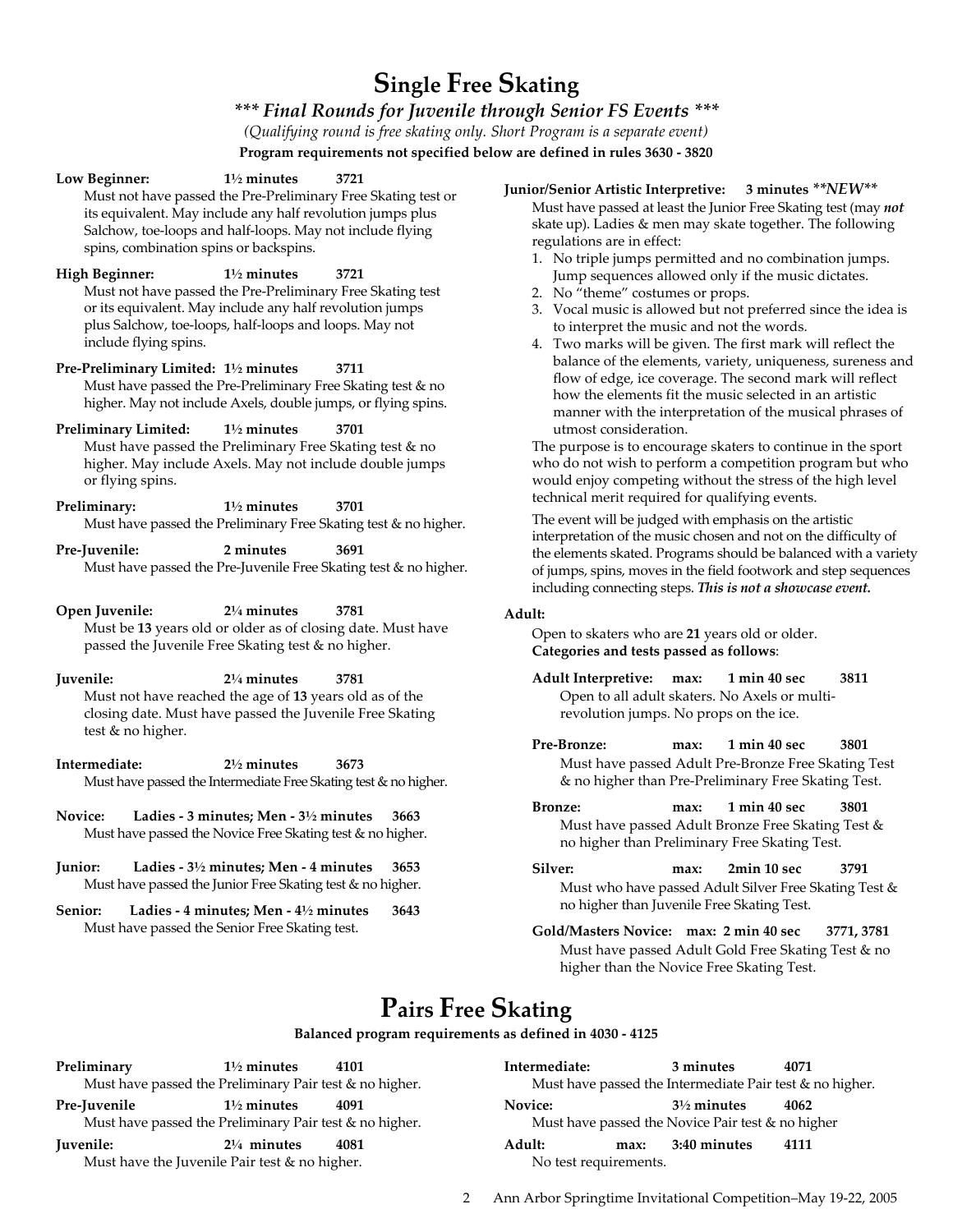# **Single Free Skating**

### *\*\*\* Final Rounds for Juvenile through Senior FS Events \*\*\**

*(Qualifying round is free skating only. Short Program is a separate event)* 

**Program requirements not specified below are defined in rules 3630 - 3820** 

| Low Beginner:                                   | $1\frac{1}{2}$ minutes<br>spins, combination spins or backspins.                                                                             | 3721<br>Must not have passed the Pre-Preliminary Free Skating test or<br>its equivalent. May include any half revolution jumps plus<br>Salchow, toe-loops and half-loops. May not include flying | Junior/<br>M <sub>l</sub><br>ska<br>reg<br>1. |
|-------------------------------------------------|----------------------------------------------------------------------------------------------------------------------------------------------|--------------------------------------------------------------------------------------------------------------------------------------------------------------------------------------------------|-----------------------------------------------|
| High Beginner:<br>include flying spins.         | $1\frac{1}{2}$ minutes<br>or its equivalent. May include any half revolution jumps<br>plus Salchow, toe-loops, half-loops and loops. May not | 3721<br>Must not have passed the Pre-Preliminary Free Skating test                                                                                                                               | 2.<br>3.<br>4.                                |
| Pre-Preliminary Limited: 11/2 minutes           |                                                                                                                                              | 3711<br>Must have passed the Pre-Preliminary Free Skating test & no<br>higher. May not include Axels, double jumps, or flying spins.                                                             |                                               |
| <b>Preliminary Limited:</b><br>or flying spins. | $1\frac{1}{2}$ minutes                                                                                                                       | 3701<br>Must have passed the Preliminary Free Skating test & no<br>higher. May include Axels. May not include double jumps                                                                       | Th<br>wł<br>W <sub>C</sub><br>tec             |
| Preliminary:                                    | $1\frac{1}{2}$ minutes                                                                                                                       | 3701<br>Must have passed the Preliminary Free Skating test & no higher.                                                                                                                          | Th                                            |
| Pre-Juvenile:                                   | 2 minutes                                                                                                                                    | 3691<br>Must have passed the Pre-Juvenile Free Skating test & no higher.                                                                                                                         | int<br>th€<br>$\sigma f$<br>inc               |
| Open Juvenile:                                  | $2\frac{1}{4}$ minutes<br>passed the Juvenile Free Skating test & no higher.                                                                 | 3781<br>Must be 13 years old or older as of closing date. Must have                                                                                                                              | Adult:<br>Op<br>Ca                            |
| Juvenile:                                       | $2\frac{1}{4}$ minutes<br>Must not have reached the age of 13 years old as of the                                                            | 3781<br>closing date. Must have passed the Juvenile Free Skating                                                                                                                                 | Ac                                            |

**Intermediate: 2½ minutes 3673**  Must have passed the Intermediate Free Skating test & no higher.

test & no higher.

- **Novice: Ladies 3 minutes; Men 3½ minutes 3663**  Must have passed the Novice Free Skating test & no higher.
- **Junior: Ladies 3½ minutes; Men 4 minutes 3653**  Must have passed the Junior Free Skating test & no higher.
- **Senior: Ladies 4 minutes; Men 4½ minutes 3643**  Must have passed the Senior Free Skating test.

### **Junior/Senior Artistic Interpretive: 3 minutes** *\*\*NEW\*\**

ust have passed at least the Junior Free Skating test (may *not* ate up). Ladies & men may skate together. The following gulations are in effect:

- No triple jumps permitted and no combination jumps. Jump sequences allowed only if the music dictates.
- No "theme" costumes or props.
- Vocal music is allowed but not preferred since the idea is to interpret the music and not the words.
- Two marks will be given. The first mark will reflect the balance of the elements, variety, uniqueness, sureness and flow of edge, ice coverage. The second mark will reflect how the elements fit the music selected in an artistic manner with the interpretation of the musical phrases of utmost consideration.

ne purpose is to encourage skaters to continue in the sport ho do not wish to perform a competition program but who ould enjoy competing without the stress of the high level chnical merit required for qualifying events.

ne event will be judged with emphasis on the artistic terpretation of the music chosen and not on the difficulty of e elements skated. Programs should be balanced with a variety jumps, spins, moves in the field footwork and step sequences cluding connecting steps. This is not a showcase event.

pen to skaters who are 21 years old or older. **Categories and tests passed as follows**:

- **Adult Interpretive: max: 1 min 40 sec 3811** Open to all adult skaters. No Axels or multirevolution jumps. No props on the ice.
- **Pre-Bronze: max: 1 min 40 sec 3801**  Must have passed Adult Pre-Bronze Free Skating Test & no higher than Pre-Preliminary Free Skating Test.
- **Bronze: max: 1 min 40 sec 3801**  Must have passed Adult Bronze Free Skating Test & no higher than Preliminary Free Skating Test.
- **Silver: max: 2min 10 sec 3791**  Must who have passed Adult Silver Free Skating Test & no higher than Juvenile Free Skating Test.
- **Gold/Masters Novice: max: 2 min 40 sec 3771, 3781**  Must have passed Adult Gold Free Skating Test & no higher than the Novice Free Skating Test.

# **Pairs Free Skating**

### **Balanced program requirements as defined in 4030 - 4125**

| Preliminary                                             | $1\frac{1}{2}$ minutes                                  | 4101                                              | Intermediate: |                       | 3 minutes              | 4071                                                     |
|---------------------------------------------------------|---------------------------------------------------------|---------------------------------------------------|---------------|-----------------------|------------------------|----------------------------------------------------------|
|                                                         | Must have passed the Preliminary Pair test & no higher. |                                                   |               |                       |                        | Must have passed the Intermediate Pair test & no higher. |
| Pre-Juvenile                                            | $1\frac{1}{2}$ minutes                                  | 4091                                              | Novice:       |                       | $3\frac{1}{2}$ minutes | 4062                                                     |
| Must have passed the Preliminary Pair test & no higher. |                                                         | Must have passed the Novice Pair test & no higher |               |                       |                        |                                                          |
| <b>Juvenile:</b>                                        | $2\frac{1}{4}$ minutes                                  | 4081                                              | Adult:        | max:                  | 3:40 minutes           | 4111                                                     |
|                                                         | Must have the Juvenile Pair test & no higher.           |                                                   |               | No test requirements. |                        |                                                          |

2 Ann Arbor Springtime Invitational Competition–May 19-22, 2005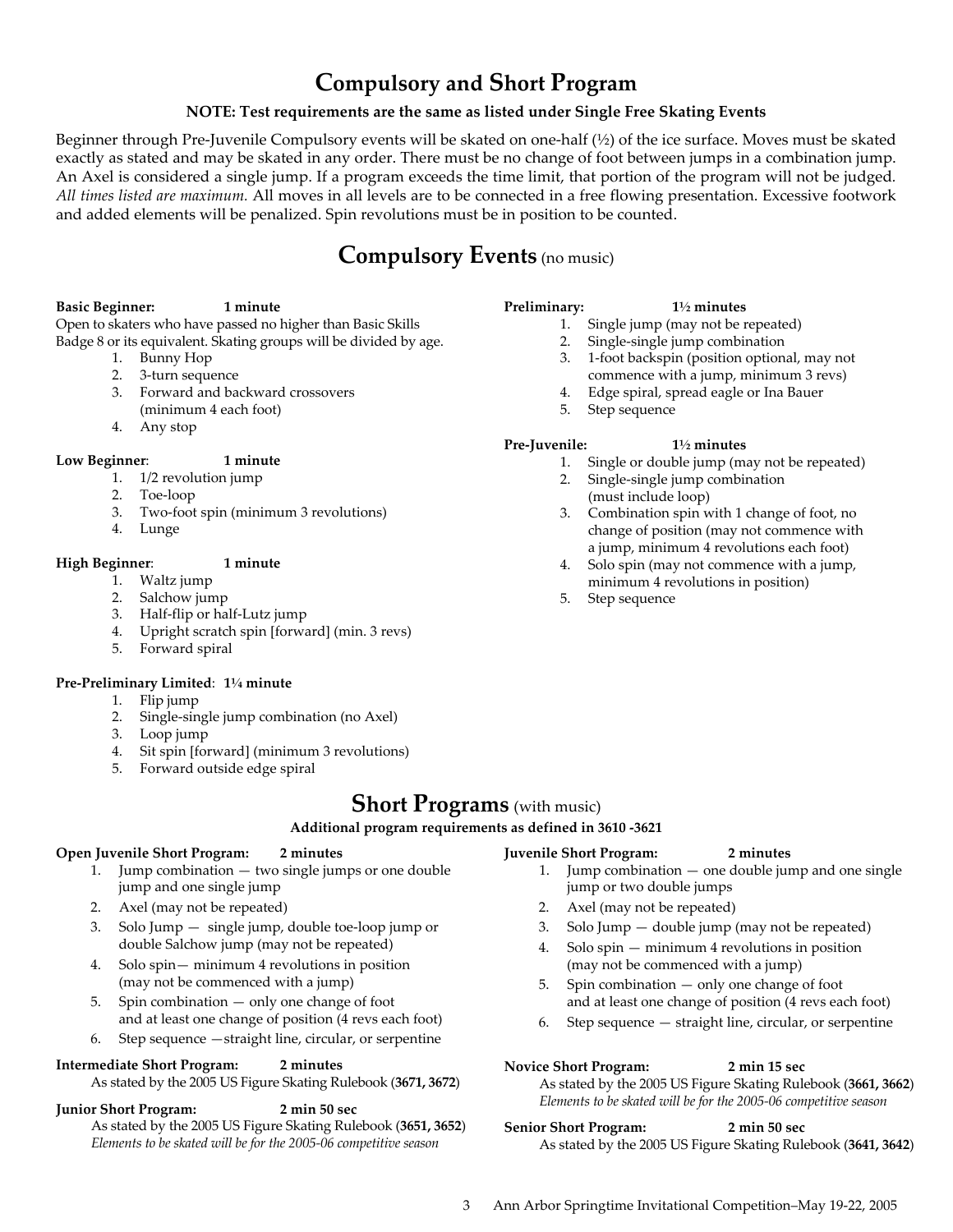# **Compulsory and Short Program**

### **NOTE: Test requirements are the same as listed under Single Free Skating Events**

Beginner through Pre-Juvenile Compulsory events will be skated on one-half (½) of the ice surface. Moves must be skated exactly as stated and may be skated in any order. There must be no change of foot between jumps in a combination jump. An Axel is considered a single jump. If a program exceeds the time limit, that portion of the program will not be judged*. All times listed are maximum.* All moves in all levels are to be connected in a free flowing presentation. Excessive footwork and added elements will be penalized. Spin revolutions must be in position to be counted.

# **Compulsory Events** (no music)

#### **Basic Beginner: 1 minute**

Open to skaters who have passed no higher than Basic Skills Badge 8 or its equivalent. Skating groups will be divided by age.

- 1. Bunny Hop
- 2. 3-turn sequence
- 3. Forward and backward crossovers
- (minimum 4 each foot)
- 4. Any stop

### **Low Beginner**: **1 minute**

- 1. 1/2 revolution jump
- 2. Toe-loop
- 3. Two-foot spin (minimum 3 revolutions)
- 4. Lunge

### **High Beginner**: **1 minute**

- 1. Waltz jump
- 2. Salchow jump
- 3. Half-flip or half-Lutz jump
- 4. Upright scratch spin [forward] (min. 3 revs)
- 5. Forward spiral

### **Pre-Preliminary Limited**: **1¼ minute**

- 1. Flip jump
- 2. Single-single jump combination (no Axel)
- 3. Loop jump
- 4. Sit spin [forward] (minimum 3 revolutions)
- 5. Forward outside edge spiral

### **Short Programs** (with music)

**Additional program requirements as defined in 3610 -3621** 

### **Open Juvenile Short Program: 2 minutes**

- 1. Jump combination two single jumps or one double jump and one single jump
- 2. Axel (may not be repeated)
- 3. Solo Jump single jump, double toe-loop jump or double Salchow jump (may not be repeated)
- 4. Solo spin— minimum 4 revolutions in position (may not be commenced with a jump)
- 5. Spin combination only one change of foot and at least one change of position (4 revs each foot)
- 6. Step sequence —straight line, circular, or serpentine

### **Intermediate Short Program: 2 minutes**

As stated by the 2005 US Figure Skating Rulebook (**3671, 3672**)

**Junior Short Program: 2 min 50 sec** 

As stated by the 2005 US Figure Skating Rulebook (**3651, 3652**) *Elements to be skated will be for the 2005-06 competitive season*

### **Preliminary: 1½ minutes**

- 1. Single jump (may not be repeated)
- 2. Single-single jump combination
- 3. 1-foot backspin (position optional, may not commence with a jump, minimum 3 revs)
- 4. Edge spiral, spread eagle or Ina Bauer
- 

### **Pre-Juvenile: 1½ minutes**

- 1. Single or double jump (may not be repeated)
- 2. Single-single jump combination (must include loop)
- 3. Combination spin with 1 change of foot, no change of position (may not commence with a jump, minimum 4 revolutions each foot)
- 4. Solo spin (may not commence with a jump, minimum 4 revolutions in position)
- 5. Step sequence

### **Juvenile Short Program: 2 minutes**

- 1. Jump combination one double jump and one single jump or two double jumps
- 2. Axel (may not be repeated)
- 3. Solo Jump double jump (may not be repeated)
- 4. Solo spin minimum 4 revolutions in position (may not be commenced with a jump)
- 5. Spin combination only one change of foot and at least one change of position (4 revs each foot)
- 6. Step sequence straight line, circular, or serpentine

### **Novice Short Program: 2 min 15 sec**

As stated by the 2005 US Figure Skating Rulebook (**3661, 3662**) *Elements to be skated will be for the 2005-06 competitive season*

### **Senior Short Program: 2 min 50 sec**  As stated by the 2005 US Figure Skating Rulebook (**3641, 3642**)

### 3 Ann Arbor Springtime Invitational Competition–May 19-22, 2005

- 
- 
- 
- 5. Step sequence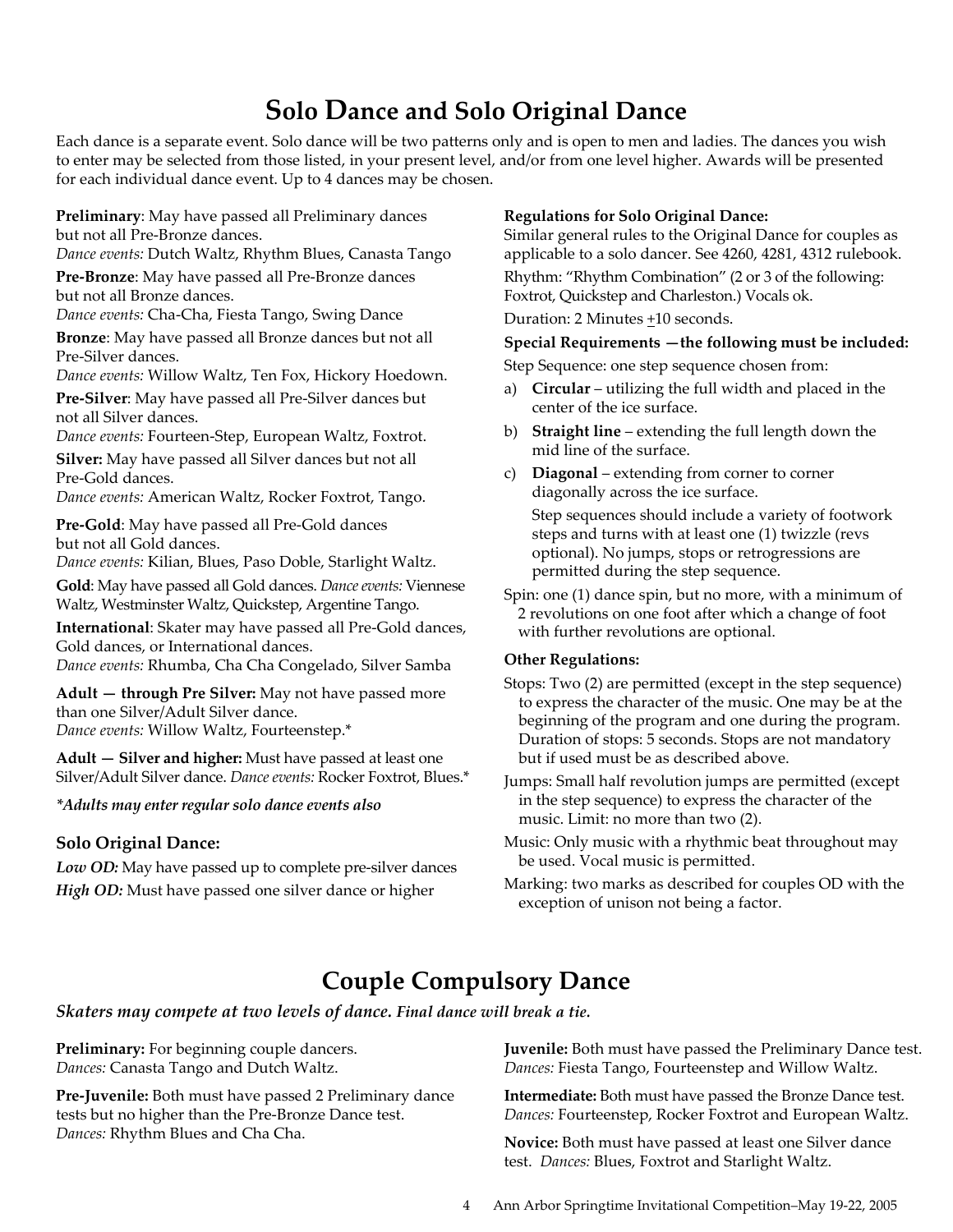# **Solo Dance and Solo Original Dance**

Each dance is a separate event. Solo dance will be two patterns only and is open to men and ladies. The dances you wish to enter may be selected from those listed, in your present level, and/or from one level higher. Awards will be presented for each individual dance event. Up to 4 dances may be chosen.

**Preliminary**: May have passed all Preliminary dances but not all Pre-Bronze dances.

*Dance events:* Dutch Waltz, Rhythm Blues, Canasta Tango

**Pre-Bronze**: May have passed all Pre-Bronze dances but not all Bronze dances.

*Dance events:* Cha-Cha, Fiesta Tango, Swing Dance

**Bronze**: May have passed all Bronze dances but not all Pre-Silver dances.

*Dance events:* Willow Waltz, Ten Fox, Hickory Hoedown.

**Pre-Silver**: May have passed all Pre-Silver dances but not all Silver dances.

*Dance events:* Fourteen-Step, European Waltz, Foxtrot.

**Silver:** May have passed all Silver dances but not all Pre-Gold dances.

*Dance events:* American Waltz, Rocker Foxtrot, Tango.

**Pre-Gold**: May have passed all Pre-Gold dances but not all Gold dances.

*Dance events:* Kilian, Blues, Paso Doble, Starlight Waltz.

**Gold**: May have passed all Gold dances. *Dance events:* Viennese Waltz, Westminster Waltz, Quickstep, Argentine Tango.

**International**: Skater may have passed all Pre-Gold dances, Gold dances, or International dances.

*Dance events:* Rhumba, Cha Cha Congelado, Silver Samba

**Adult — through Pre Silver:** May not have passed more than one Silver/Adult Silver dance. *Dance events:* Willow Waltz, Fourteenstep.\*

**Adult — Silver and higher:** Must have passed at least one Silver/Adult Silver dance. *Dance events:* Rocker Foxtrot, Blues.\*

### *\*Adults may enter regular solo dance events also*

### **Solo Original Dance:**

*Low OD:* May have passed up to complete pre-silver dances *High OD:* Must have passed one silver dance or higher

### **Regulations for Solo Original Dance:**

Similar general rules to the Original Dance for couples as applicable to a solo dancer. See 4260, 4281, 4312 rulebook.

Rhythm: "Rhythm Combination" (2 or 3 of the following: Foxtrot, Quickstep and Charleston.) Vocals ok.

Duration: 2 Minutes +10 seconds.

### **Special Requirements —the following must be included:**

Step Sequence: one step sequence chosen from:

- a) **Circular**  utilizing the full width and placed in the center of the ice surface.
- b) **Straight line** extending the full length down the mid line of the surface.
- c) **Diagonal** extending from corner to corner diagonally across the ice surface.

Step sequences should include a variety of footwork steps and turns with at least one (1) twizzle (revs optional). No jumps, stops or retrogressions are permitted during the step sequence.

Spin: one (1) dance spin, but no more, with a minimum of 2 revolutions on one foot after which a change of foot with further revolutions are optional.

### **Other Regulations:**

Stops: Two (2) are permitted (except in the step sequence) to express the character of the music. One may be at the beginning of the program and one during the program. Duration of stops: 5 seconds. Stops are not mandatory but if used must be as described above.

Jumps: Small half revolution jumps are permitted (except in the step sequence) to express the character of the music. Limit: no more than two (2).

- Music: Only music with a rhythmic beat throughout may be used. Vocal music is permitted.
- Marking: two marks as described for couples OD with the exception of unison not being a factor.

# **Couple Compulsory Dance**

*Skaters may compete at two levels of dance. Final dance will break a tie.*

**Preliminary:** For beginning couple dancers. *Dances:* Canasta Tango and Dutch Waltz.

**Pre-Juvenile:** Both must have passed 2 Preliminary dance tests but no higher than the Pre-Bronze Dance test. *Dances:* Rhythm Blues and Cha Cha.

**Juvenile:** Both must have passed the Preliminary Dance test. *Dances:* Fiesta Tango, Fourteenstep and Willow Waltz.

**Intermediate:** Both must have passed the Bronze Dance test. *Dances:* Fourteenstep, Rocker Foxtrot and European Waltz.

**Novice:** Both must have passed at least one Silver dance test. *Dances:* Blues, Foxtrot and Starlight Waltz.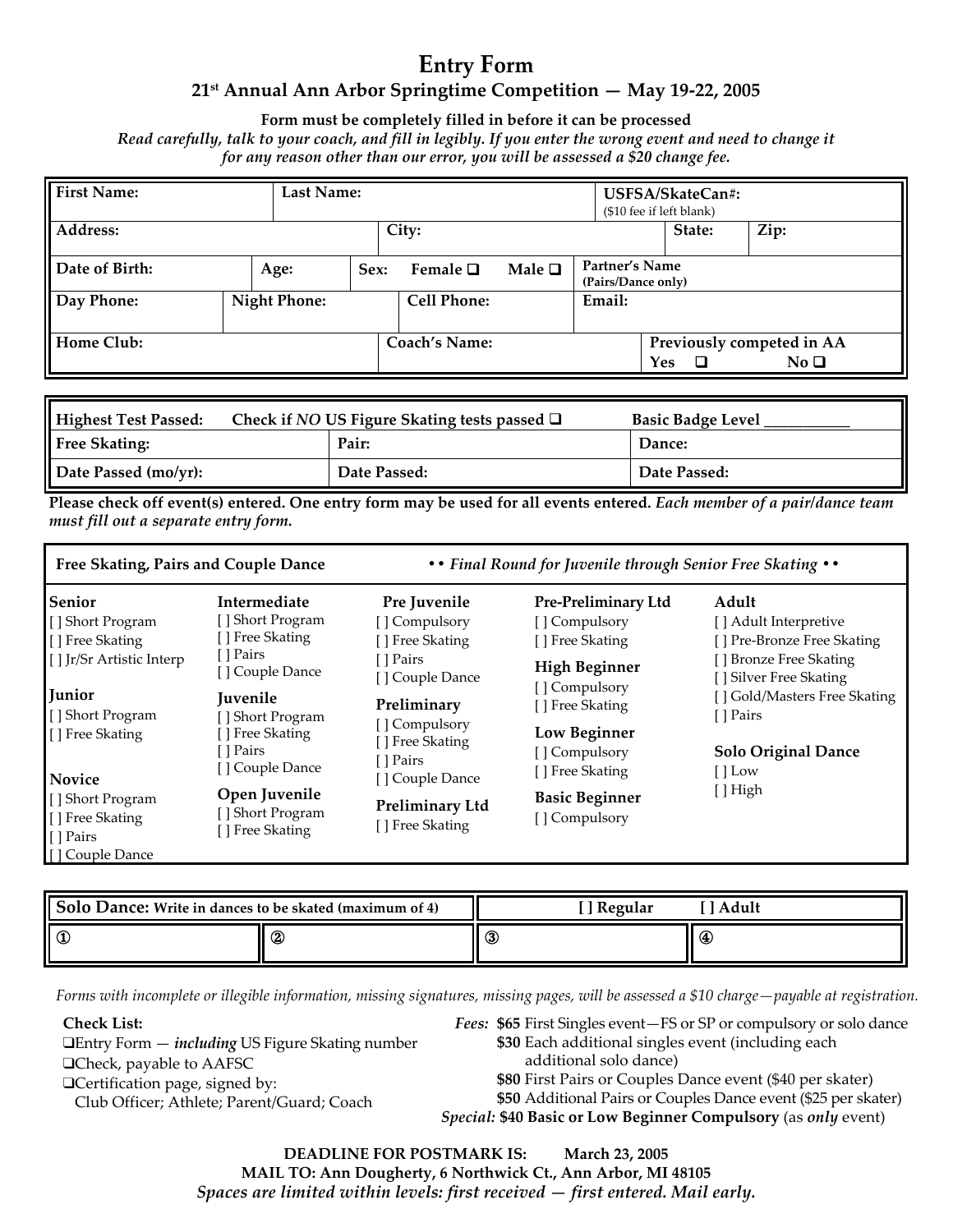## **Entry Form 21st Annual Ann Arbor Springtime Competition — May 19-22, 2005**

**Form must be completely filled in before it can be processed** 

*Read carefully, talk to your coach, and fill in legibly. If you enter the wrong event and need to change it for any reason other than our error, you will be assessed a \$20 change fee.* 

| <b>First Name:</b> | Last Name:          |      |                      |             |                                      | USFSA/SkateCan#:<br>(\$10 fee if left blank) |                                              |
|--------------------|---------------------|------|----------------------|-------------|--------------------------------------|----------------------------------------------|----------------------------------------------|
| Address:           |                     |      | City:                |             |                                      | State:                                       | Zip:                                         |
| Date of Birth:     | Age:                | Sex: | Female $\Box$        | Male $\Box$ | Partner's Name<br>(Pairs/Dance only) |                                              |                                              |
| Day Phone:         | <b>Night Phone:</b> |      | <b>Cell Phone:</b>   |             | Email:                               |                                              |                                              |
| Home Club:         |                     |      | <b>Coach's Name:</b> |             |                                      | Yes<br>□                                     | Previously competed in AA<br>No <sub>D</sub> |

| Highest Test Passed: | Check if NO US Figure Skating tests passed $\Box$ | <b>Basic Badge Level</b> |  |
|----------------------|---------------------------------------------------|--------------------------|--|
| <b>Free Skating:</b> | Pair:                                             | Dance:                   |  |
| Date Passed (mo/yr): | Date Passed:                                      | Date Passed:             |  |

**Please check off event(s) entered. One entry form may be used for all events entered***. Each member of a pair/dance team must fill out a separate entry form.* 

| Free Skating, Pairs and Couple Dance                                 |                                                       |                                                 | • • Final Round for Juvenile through Senior Free Skating • • |                                                   |
|----------------------------------------------------------------------|-------------------------------------------------------|-------------------------------------------------|--------------------------------------------------------------|---------------------------------------------------|
| <b>Senior</b>                                                        | Intermediate                                          | Pre Juvenile                                    | <b>Pre-Preliminary Ltd</b>                                   | Adult                                             |
| [ ] Short Program                                                    | [] Short Program                                      | [] Compulsory                                   | [] Compulsory                                                | [ ] Adult Interpretive                            |
| [ ] Free Skating                                                     | [] Free Skating                                       | [ ] Free Skating                                | [] Free Skating                                              | [] Pre-Bronze Free Skating                        |
| [ ] Jr/Sr Artistic Interp                                            | [ ] Pairs<br>[] Couple Dance                          | [ ] Pairs<br>[ ] Couple Dance                   | <b>High Beginner</b><br>[ ] Compulsory                       | [] Bronze Free Skating<br>[ ] Silver Free Skating |
| Junior<br>[] Short Program                                           | <b>Iuvenile</b><br>[] Short Program                   | Preliminary                                     | [] Free Skating                                              | [ ] Gold/Masters Free Skating<br>[ ] Pairs        |
| [ ] Free Skating                                                     | [ ] Free Skating<br>[ ] Pairs<br>[] Couple Dance      | [ ] Compulsory<br>[ ] Free Skating<br>[ ] Pairs | <b>Low Beginner</b><br>[] Compulsory<br>[ ] Free Skating     | <b>Solo Original Dance</b><br>$[$ Low             |
| <b>Novice</b>                                                        |                                                       | [] Couple Dance                                 |                                                              | [] High                                           |
| [] Short Program<br>[ ] Free Skating<br>[ ] Pairs<br>[] Couple Dance | Open Juvenile<br>[] Short Program<br>[ ] Free Skating | <b>Preliminary Ltd</b><br>[ ] Free Skating      | <b>Basic Beginner</b><br>[ ] Compulsory                      |                                                   |

| Solo Dance: Write in dances to be skated (maximum of 4) |   | <sup>1</sup> Regular | ' Adult |
|---------------------------------------------------------|---|----------------------|---------|
| ll C                                                    | 2 | $\circledS$          | €       |

*Forms with incomplete or illegible information, missing signatures, missing pages, will be assessed a \$10 charge—payable at registration.* 

**Check List:** 

❑Entry Form — *including* US Figure Skating number ❑Check, payable to AAFSC ❑Certification page, signed by: Club Officer; Athlete; Parent/Guard; Coach

*Fees:* **\$65** First Singles event—FS or SP or compulsory or solo dance **\$30** Each additional singles event (including each additional solo dance)

**\$80** First Pairs or Couples Dance event (\$40 per skater)

**\$50** Additional Pairs or Couples Dance event (\$25 per skater)

*Special:* **\$40 Basic or Low Beginner Compulsory** (as *only* event)

**DEADLINE FOR POSTMARK IS: March 23, 2005 MAIL TO: Ann Dougherty, 6 Northwick Ct., Ann Arbor, MI 48105**  *Spaces are limited within levels: first received — first entered. Mail early.*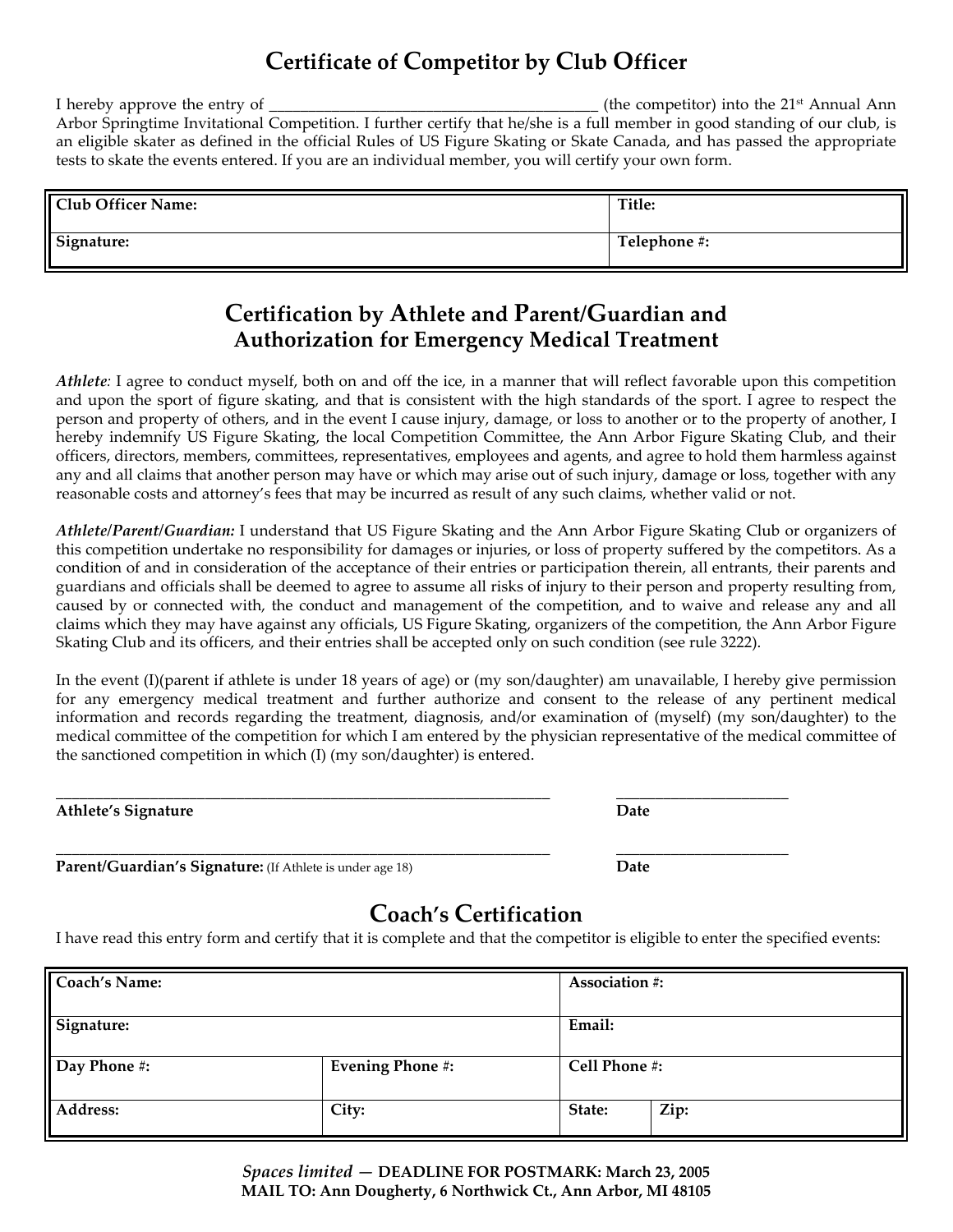# **Certificate of Competitor by Club Officer**

I hereby approve the entry of  $\Box$ Arbor Springtime Invitational Competition. I further certify that he/she is a full member in good standing of our club, is an eligible skater as defined in the official Rules of US Figure Skating or Skate Canada, and has passed the appropriate tests to skate the events entered. If you are an individual member, you will certify your own form.

| <b>Club Officer Name:</b> | Title:       |
|---------------------------|--------------|
| Signature:                | Telephone #: |

## **Certification by Athlete and Parent/Guardian and Authorization for Emergency Medical Treatment**

*Athlete:* I agree to conduct myself, both on and off the ice, in a manner that will reflect favorable upon this competition and upon the sport of figure skating, and that is consistent with the high standards of the sport. I agree to respect the person and property of others, and in the event I cause injury, damage, or loss to another or to the property of another, I hereby indemnify US Figure Skating, the local Competition Committee, the Ann Arbor Figure Skating Club, and their officers, directors, members, committees, representatives, employees and agents, and agree to hold them harmless against any and all claims that another person may have or which may arise out of such injury, damage or loss, together with any reasonable costs and attorney's fees that may be incurred as result of any such claims, whether valid or not.

*Athlete/Parent/Guardian:* I understand that US Figure Skating and the Ann Arbor Figure Skating Club or organizers of this competition undertake no responsibility for damages or injuries, or loss of property suffered by the competitors. As a condition of and in consideration of the acceptance of their entries or participation therein, all entrants, their parents and guardians and officials shall be deemed to agree to assume all risks of injury to their person and property resulting from, caused by or connected with, the conduct and management of the competition, and to waive and release any and all claims which they may have against any officials, US Figure Skating, organizers of the competition, the Ann Arbor Figure Skating Club and its officers, and their entries shall be accepted only on such condition (see rule 3222).

In the event (I)(parent if athlete is under 18 years of age) or (my son/daughter) am unavailable, I hereby give permission for any emergency medical treatment and further authorize and consent to the release of any pertinent medical information and records regarding the treatment, diagnosis, and/or examination of (myself) (my son/daughter) to the medical committee of the competition for which I am entered by the physician representative of the medical committee of the sanctioned competition in which (I) (my son/daughter) is entered.

| Athlete's<br>. . |  |
|------------------|--|

| Jate |  |  |
|------|--|--|
|      |  |  |

\_\_\_\_\_\_\_\_\_\_\_\_\_\_\_\_\_\_\_\_\_\_\_\_\_\_\_\_\_\_\_\_\_\_\_\_\_\_\_\_\_\_\_\_\_\_\_\_\_\_\_\_\_\_\_\_\_\_\_\_\_\_\_ \_\_\_\_\_\_\_\_\_\_\_\_\_\_\_\_\_\_\_\_\_\_ **Parent/Guardian's Signature:** (If Athlete is under age 18) **Date** 

# **Coach's Certification**

I have read this entry form and certify that it is complete and that the competitor is eligible to enter the specified events:

| <b>Coach's Name:</b> |                         | <b>Association #:</b>      |      |
|----------------------|-------------------------|----------------------------|------|
| Signature:           |                         | Email:                     |      |
| Day Phone #:         | <b>Evening Phone #:</b> | $\overline{Cell}$ Phone #: |      |
| Address:             | City:                   | State:                     | Zip: |